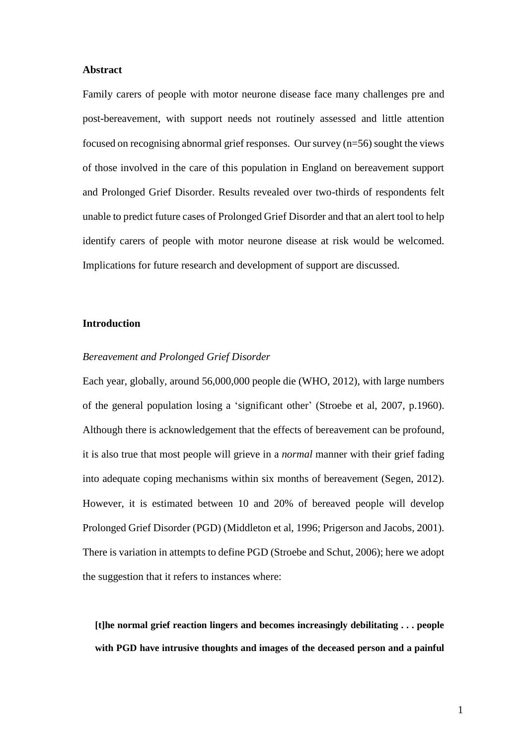### **Abstract**

Family carers of people with motor neurone disease face many challenges pre and post-bereavement, with support needs not routinely assessed and little attention focused on recognising abnormal grief responses. Our survey (n=56) sought the views of those involved in the care of this population in England on bereavement support and Prolonged Grief Disorder. Results revealed over two-thirds of respondents felt unable to predict future cases of Prolonged Grief Disorder and that an alert tool to help identify carers of people with motor neurone disease at risk would be welcomed. Implications for future research and development of support are discussed.

### **Introduction**

### *Bereavement and Prolonged Grief Disorder*

Each year, globally, around 56,000,000 people die (WHO, 2012), with large numbers of the general population losing a 'significant other' (Stroebe et al, 2007, p.1960). Although there is acknowledgement that the effects of bereavement can be profound, it is also true that most people will grieve in a *normal* manner with their grief fading into adequate coping mechanisms within six months of bereavement (Segen, 2012). However, it is estimated between 10 and 20% of bereaved people will develop Prolonged Grief Disorder (PGD) (Middleton et al, 1996; Prigerson and Jacobs, 2001). There is variation in attempts to define PGD (Stroebe and Schut, 2006); here we adopt the suggestion that it refers to instances where:

**[t]he normal grief reaction lingers and becomes increasingly debilitating . . . people with PGD have intrusive thoughts and images of the deceased person and a painful**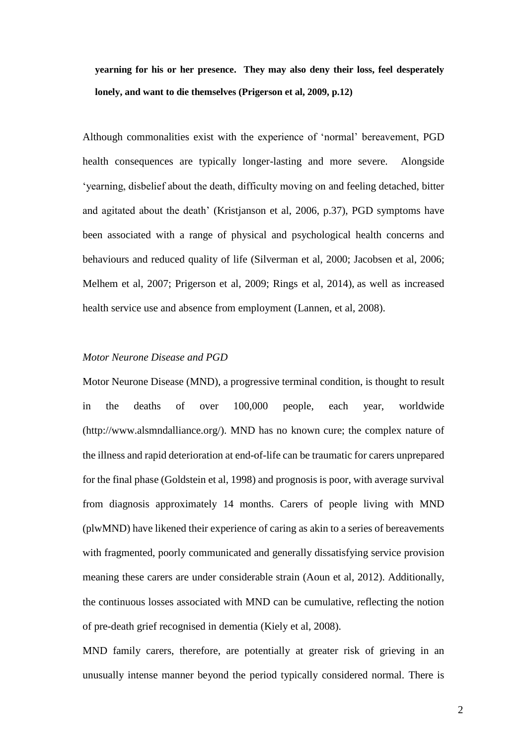**yearning for his or her presence. They may also deny their loss, feel desperately lonely, and want to die themselves (Prigerson et al, 2009, p.12)** 

Although commonalities exist with the experience of 'normal' bereavement, PGD health consequences are typically longer-lasting and more severe. Alongside 'yearning, disbelief about the death, difficulty moving on and feeling detached, bitter and agitated about the death' (Kristjanson et al, 2006, p.37), PGD symptoms have been associated with a range of physical and psychological health concerns and behaviours and reduced quality of life (Silverman et al, 2000; Jacobsen et al, 2006; Melhem et al, 2007; Prigerson et al, 2009; Rings et al, 2014), as well as increased health service use and absence from employment (Lannen, et al, 2008).

### *Motor Neurone Disease and PGD*

Motor Neurone Disease (MND), a progressive terminal condition, is thought to result in the deaths of over 100,000 people, each year, worldwide (http://www.alsmndalliance.org/). MND has no known cure; the complex nature of the illness and rapid deterioration at end-of-life can be traumatic for carers unprepared for the final phase (Goldstein et al, 1998) and prognosis is poor, with average survival from diagnosis approximately 14 months. Carers of people living with MND (plwMND) have likened their experience of caring as akin to a series of bereavements with fragmented, poorly communicated and generally dissatisfying service provision meaning these carers are under considerable strain (Aoun et al, 2012). Additionally, the continuous losses associated with MND can be cumulative, reflecting the notion of pre-death grief recognised in dementia (Kiely et al, 2008).

MND family carers, therefore, are potentially at greater risk of grieving in an unusually intense manner beyond the period typically considered normal. There is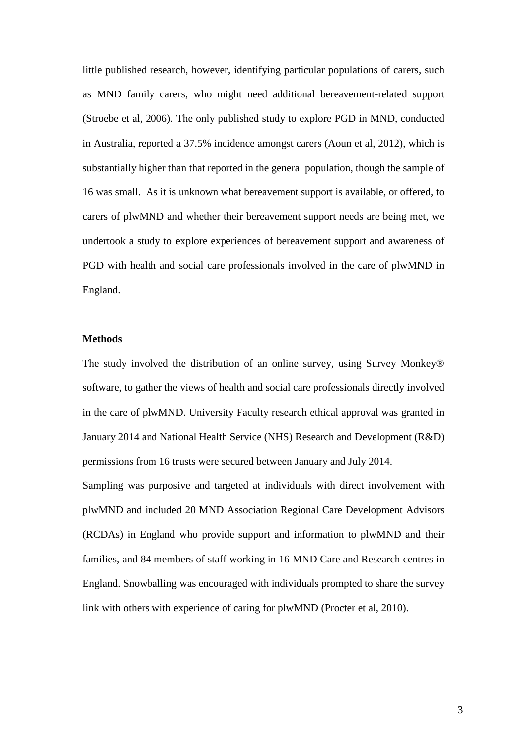little published research, however, identifying particular populations of carers, such as MND family carers, who might need additional bereavement-related support (Stroebe et al, 2006). The only published study to explore PGD in MND, conducted in Australia, reported a 37.5% incidence amongst carers (Aoun et al, 2012), which is substantially higher than that reported in the general population, though the sample of 16 was small. As it is unknown what bereavement support is available, or offered, to carers of plwMND and whether their bereavement support needs are being met, we undertook a study to explore experiences of bereavement support and awareness of PGD with health and social care professionals involved in the care of plwMND in England.

### **Methods**

The study involved the distribution of an online survey, using Survey Monkey® software, to gather the views of health and social care professionals directly involved in the care of plwMND. University Faculty research ethical approval was granted in January 2014 and National Health Service (NHS) Research and Development (R&D) permissions from 16 trusts were secured between January and July 2014.

Sampling was purposive and targeted at individuals with direct involvement with plwMND and included 20 MND Association Regional Care Development Advisors (RCDAs) in England who provide support and information to plwMND and their families, and 84 members of staff working in 16 MND Care and Research centres in England. Snowballing was encouraged with individuals prompted to share the survey link with others with experience of caring for plwMND (Procter et al, 2010).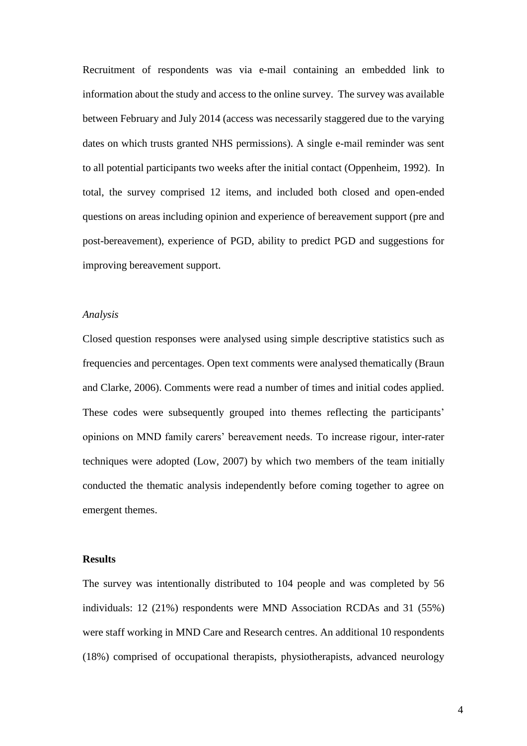Recruitment of respondents was via e-mail containing an embedded link to information about the study and access to the online survey. The survey was available between February and July 2014 (access was necessarily staggered due to the varying dates on which trusts granted NHS permissions). A single e-mail reminder was sent to all potential participants two weeks after the initial contact (Oppenheim, 1992). In total, the survey comprised 12 items, and included both closed and open-ended questions on areas including opinion and experience of bereavement support (pre and post-bereavement), experience of PGD, ability to predict PGD and suggestions for improving bereavement support.

### *Analysis*

Closed question responses were analysed using simple descriptive statistics such as frequencies and percentages. Open text comments were analysed thematically (Braun and Clarke, 2006). Comments were read a number of times and initial codes applied. These codes were subsequently grouped into themes reflecting the participants' opinions on MND family carers' bereavement needs. To increase rigour, inter-rater techniques were adopted (Low, 2007) by which two members of the team initially conducted the thematic analysis independently before coming together to agree on emergent themes.

### **Results**

The survey was intentionally distributed to 104 people and was completed by 56 individuals: 12 (21%) respondents were MND Association RCDAs and 31 (55%) were staff working in MND Care and Research centres. An additional 10 respondents (18%) comprised of occupational therapists, physiotherapists, advanced neurology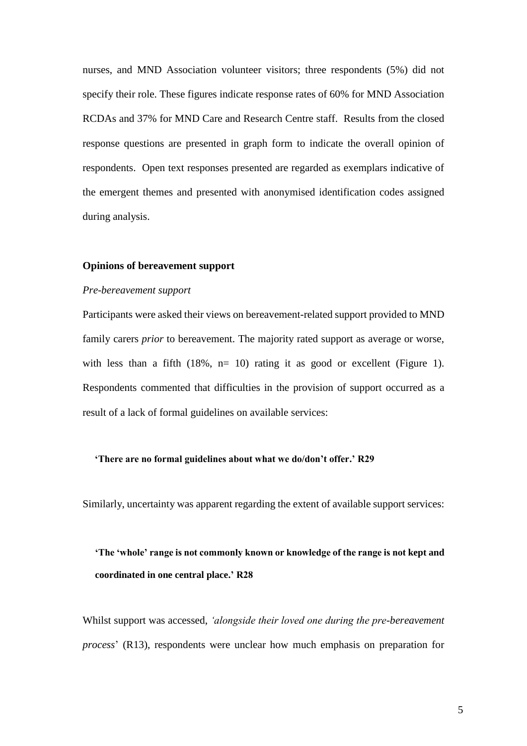nurses, and MND Association volunteer visitors; three respondents (5%) did not specify their role. These figures indicate response rates of 60% for MND Association RCDAs and 37% for MND Care and Research Centre staff. Results from the closed response questions are presented in graph form to indicate the overall opinion of respondents. Open text responses presented are regarded as exemplars indicative of the emergent themes and presented with anonymised identification codes assigned during analysis.

#### **Opinions of bereavement support**

### *Pre-bereavement support*

Participants were asked their views on bereavement-related support provided to MND family carers *prior* to bereavement. The majority rated support as average or worse, with less than a fifth  $(18\%, n=10)$  rating it as good or excellent (Figure 1). Respondents commented that difficulties in the provision of support occurred as a result of a lack of formal guidelines on available services:

#### **'There are no formal guidelines about what we do/don't offer.' R29**

Similarly, uncertainty was apparent regarding the extent of available support services:

# **'The 'whole' range is not commonly known or knowledge of the range is not kept and coordinated in one central place.' R28**

Whilst support was accessed, *'alongside their loved one during the pre-bereavement process*' (R13), respondents were unclear how much emphasis on preparation for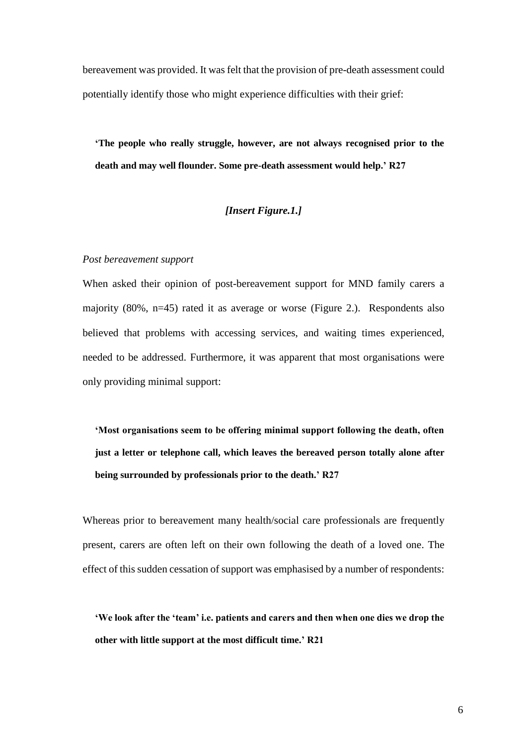bereavement was provided. It was felt that the provision of pre-death assessment could potentially identify those who might experience difficulties with their grief:

**'The people who really struggle, however, are not always recognised prior to the death and may well flounder. Some pre-death assessment would help.' R27**

## *[Insert Figure.1.]*

### *Post bereavement support*

When asked their opinion of post-bereavement support for MND family carers a majority (80%, n=45) rated it as average or worse (Figure 2.). Respondents also believed that problems with accessing services, and waiting times experienced, needed to be addressed. Furthermore, it was apparent that most organisations were only providing minimal support:

**'Most organisations seem to be offering minimal support following the death, often just a letter or telephone call, which leaves the bereaved person totally alone after being surrounded by professionals prior to the death.' R27** 

Whereas prior to bereavement many health/social care professionals are frequently present, carers are often left on their own following the death of a loved one. The effect of this sudden cessation of support was emphasised by a number of respondents:

**'We look after the 'team' i.e. patients and carers and then when one dies we drop the other with little support at the most difficult time.' R21**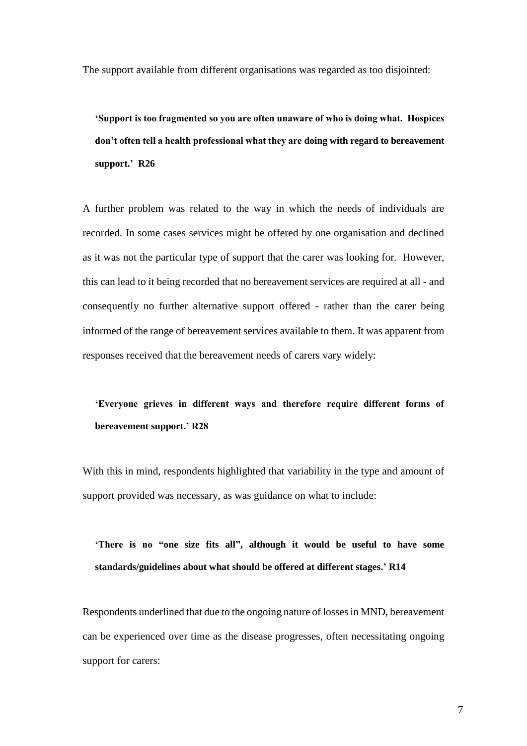The support available from different organisations was regarded as too disjointed:

**'Support is too fragmented so you are often unaware of who is doing what. Hospices don't often tell a health professional what they are doing with regard to bereavement support.' R26**

A further problem was related to the way in which the needs of individuals are recorded. In some cases services might be offered by one organisation and declined as it was not the particular type of support that the carer was looking for. However, this can lead to it being recorded that no bereavement services are required at all - and consequently no further alternative support offered - rather than the carer being informed of the range of bereavement services available to them. It was apparent from responses received that the bereavement needs of carers vary widely:

# **'Everyone grieves in different ways and therefore require different forms of bereavement support.' R28**

With this in mind, respondents highlighted that variability in the type and amount of support provided was necessary, as was guidance on what to include:

# **'There is no "one size fits all", although it would be useful to have some standards/guidelines about what should be offered at different stages.' R14**

Respondents underlined that due to the ongoing nature of losses in MND, bereavement can be experienced over time as the disease progresses, often necessitating ongoing support for carers: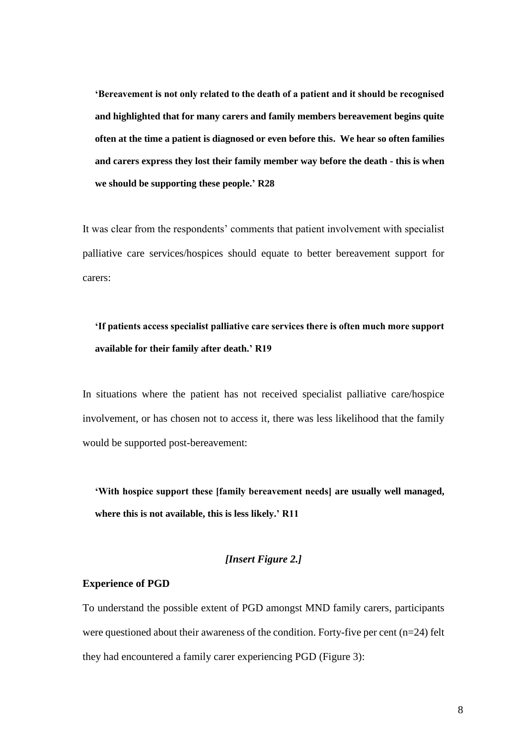**'Bereavement is not only related to the death of a patient and it should be recognised and highlighted that for many carers and family members bereavement begins quite often at the time a patient is diagnosed or even before this. We hear so often families and carers express they lost their family member way before the death - this is when we should be supporting these people.' R28** 

It was clear from the respondents' comments that patient involvement with specialist palliative care services/hospices should equate to better bereavement support for carers:

# **'If patients access specialist palliative care services there is often much more support available for their family after death.' R19**

In situations where the patient has not received specialist palliative care/hospice involvement, or has chosen not to access it, there was less likelihood that the family would be supported post-bereavement:

**'With hospice support these [family bereavement needs] are usually well managed, where this is not available, this is less likely.' R11**

## *[Insert Figure 2.]*

### **Experience of PGD**

To understand the possible extent of PGD amongst MND family carers, participants were questioned about their awareness of the condition. Forty-five per cent (n=24) felt they had encountered a family carer experiencing PGD (Figure 3):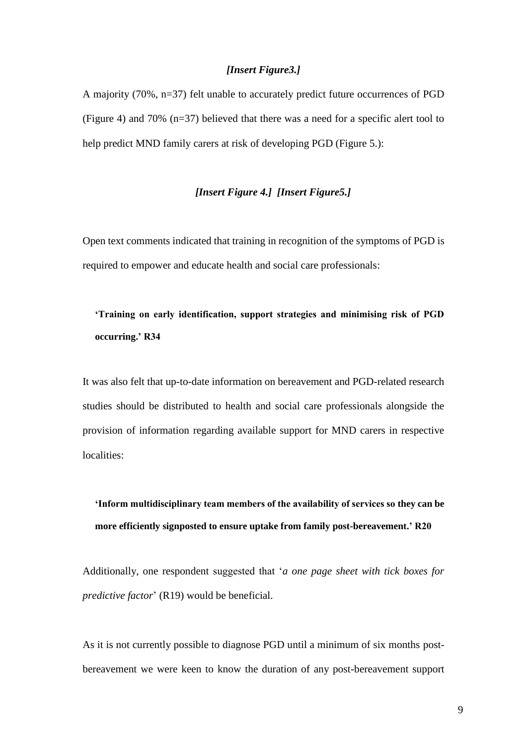### *[Insert Figure3.]*

A majority (70%, n=37) felt unable to accurately predict future occurrences of PGD (Figure 4) and 70% (n=37) believed that there was a need for a specific alert tool to help predict MND family carers at risk of developing PGD (Figure 5.):

## *[Insert Figure 4.] [Insert Figure5.]*

Open text comments indicated that training in recognition of the symptoms of PGD is required to empower and educate health and social care professionals:

# **'Training on early identification, support strategies and minimising risk of PGD occurring.' R34**

It was also felt that up-to-date information on bereavement and PGD-related research studies should be distributed to health and social care professionals alongside the provision of information regarding available support for MND carers in respective localities:

**'Inform multidisciplinary team members of the availability of services so they can be more efficiently signposted to ensure uptake from family post-bereavement.' R20**

Additionally, one respondent suggested that '*a one page sheet with tick boxes for predictive factor*' (R19) would be beneficial.

As it is not currently possible to diagnose PGD until a minimum of six months postbereavement we were keen to know the duration of any post-bereavement support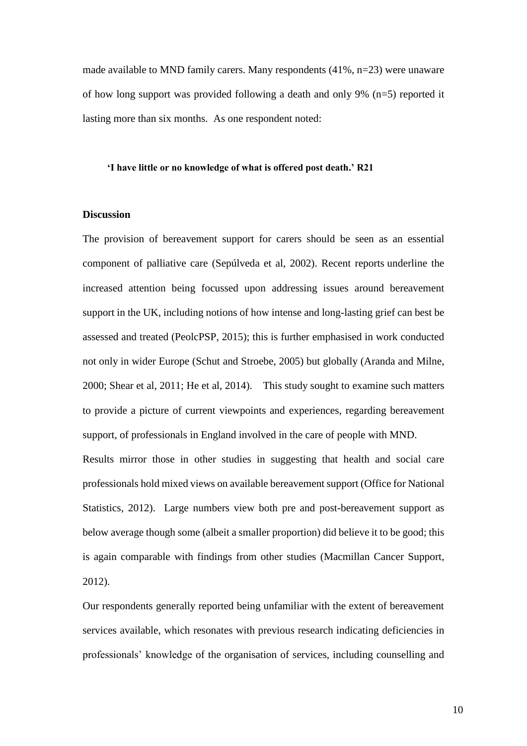made available to MND family carers. Many respondents  $(41\%, n=23)$  were unaware of how long support was provided following a death and only 9%  $(n=5)$  reported it lasting more than six months. As one respondent noted:

#### **'I have little or no knowledge of what is offered post death.' R21**

### **Discussion**

The provision of bereavement support for carers should be seen as an essential component of palliative care (Sepúlveda et al, 2002). Recent reports underline the increased attention being focussed upon addressing issues around bereavement support in the UK, including notions of how intense and long-lasting grief can best be assessed and treated (PeolcPSP, 2015); this is further emphasised in work conducted not only in wider Europe (Schut and Stroebe, 2005) but globally (Aranda and Milne, 2000; Shear et al, 2011; He et al, 2014). This study sought to examine such matters to provide a picture of current viewpoints and experiences, regarding bereavement support, of professionals in England involved in the care of people with MND.

Results mirror those in other studies in suggesting that health and social care professionals hold mixed views on available bereavement support (Office for National Statistics, 2012). Large numbers view both pre and post-bereavement support as below average though some (albeit a smaller proportion) did believe it to be good; this is again comparable with findings from other studies (Macmillan Cancer Support, 2012).

Our respondents generally reported being unfamiliar with the extent of bereavement services available, which resonates with previous research indicating deficiencies in professionals' knowledge of the organisation of services, including counselling and

10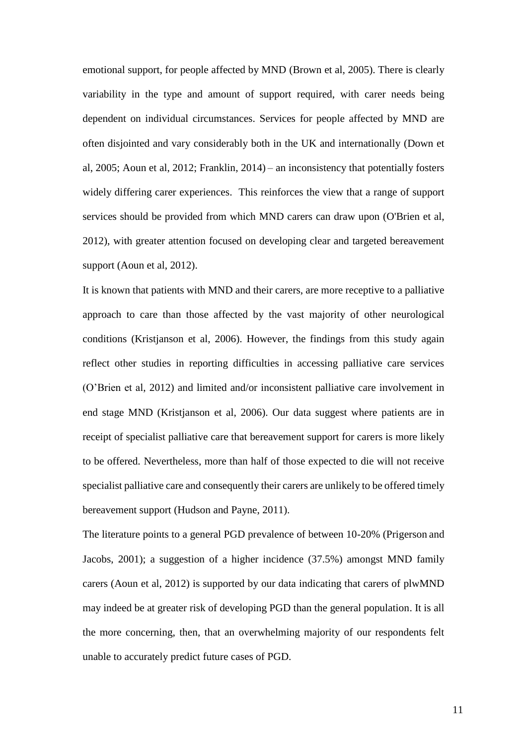emotional support, for people affected by MND (Brown et al, 2005). There is clearly variability in the type and amount of support required, with carer needs being dependent on individual circumstances. Services for people affected by MND are often disjointed and vary considerably both in the UK and internationally (Down et al, 2005; Aoun et al, 2012; Franklin, 2014) – an inconsistency that potentially fosters widely differing carer experiences. This reinforces the view that a range of support services should be provided from which MND carers can draw upon (O'Brien et al, 2012), with greater attention focused on developing clear and targeted bereavement support (Aoun et al, 2012).

It is known that patients with MND and their carers, are more receptive to a palliative approach to care than those affected by the vast majority of other neurological conditions (Kristjanson et al, 2006). However, the findings from this study again reflect other studies in reporting difficulties in accessing palliative care services (O'Brien et al, 2012) and limited and/or inconsistent palliative care involvement in end stage MND (Kristjanson et al, 2006). Our data suggest where patients are in receipt of specialist palliative care that bereavement support for carers is more likely to be offered. Nevertheless, more than half of those expected to die will not receive specialist palliative care and consequently their carers are unlikely to be offered timely bereavement support (Hudson and Payne, 2011).

The literature points to a general PGD prevalence of between 10-20% (Prigerson and Jacobs, 2001); a suggestion of a higher incidence (37.5%) amongst MND family carers (Aoun et al, 2012) is supported by our data indicating that carers of plwMND may indeed be at greater risk of developing PGD than the general population. It is all the more concerning, then, that an overwhelming majority of our respondents felt unable to accurately predict future cases of PGD.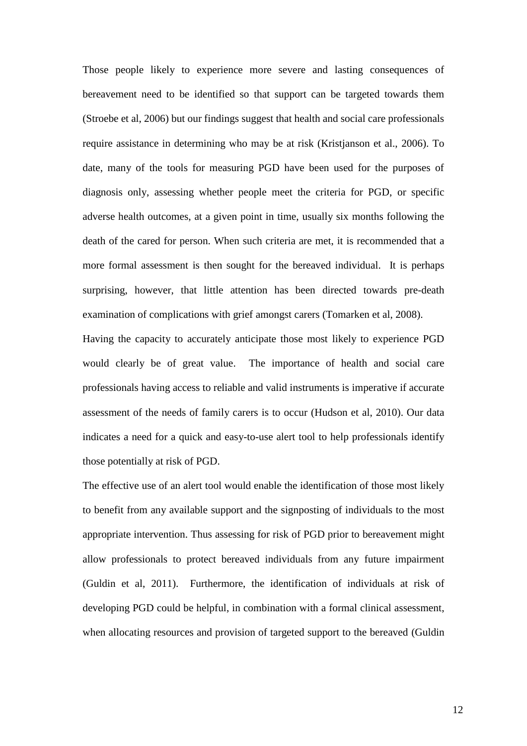Those people likely to experience more severe and lasting consequences of bereavement need to be identified so that support can be targeted towards them (Stroebe et al, 2006) but our findings suggest that health and social care professionals require assistance in determining who may be at risk (Kristjanson et al., 2006). To date, many of the tools for measuring PGD have been used for the purposes of diagnosis only, assessing whether people meet the criteria for PGD, or specific adverse health outcomes, at a given point in time, usually six months following the death of the cared for person. When such criteria are met, it is recommended that a more formal assessment is then sought for the bereaved individual. It is perhaps surprising, however, that little attention has been directed towards pre-death examination of complications with grief amongst carers (Tomarken et al, 2008).

Having the capacity to accurately anticipate those most likely to experience PGD would clearly be of great value. The importance of health and social care professionals having access to reliable and valid instruments is imperative if accurate assessment of the needs of family carers is to occur (Hudson et al, 2010). Our data indicates a need for a quick and easy-to-use alert tool to help professionals identify those potentially at risk of PGD.

The effective use of an alert tool would enable the identification of those most likely to benefit from any available support and the signposting of individuals to the most appropriate intervention. Thus assessing for risk of PGD prior to bereavement might allow professionals to protect bereaved individuals from any future impairment (Guldin et al, 2011). Furthermore, the identification of individuals at risk of developing PGD could be helpful, in combination with a formal clinical assessment, when allocating resources and provision of targeted support to the bereaved [\(Guldin](http://www.ncbi.nlm.nih.gov/pubmed/?term=Guldin%20MB%5BAuthor%5D&cauthor=true&cauthor_uid=21575239)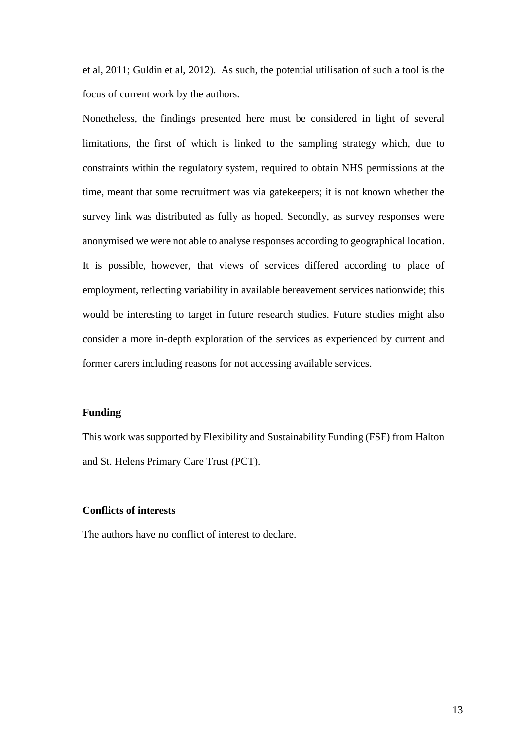et al, 2011; Guldin et al, 2012). As such, the potential utilisation of such a tool is the focus of current work by the authors.

Nonetheless, the findings presented here must be considered in light of several limitations, the first of which is linked to the sampling strategy which, due to constraints within the regulatory system, required to obtain NHS permissions at the time, meant that some recruitment was via gatekeepers; it is not known whether the survey link was distributed as fully as hoped. Secondly, as survey responses were anonymised we were not able to analyse responses according to geographical location. It is possible, however, that views of services differed according to place of employment, reflecting variability in available bereavement services nationwide; this would be interesting to target in future research studies. Future studies might also consider a more in-depth exploration of the services as experienced by current and former carers including reasons for not accessing available services.

### **Funding**

This work was supported by Flexibility and Sustainability Funding (FSF) from Halton and St. Helens Primary Care Trust (PCT).

### **Conflicts of interests**

The authors have no conflict of interest to declare.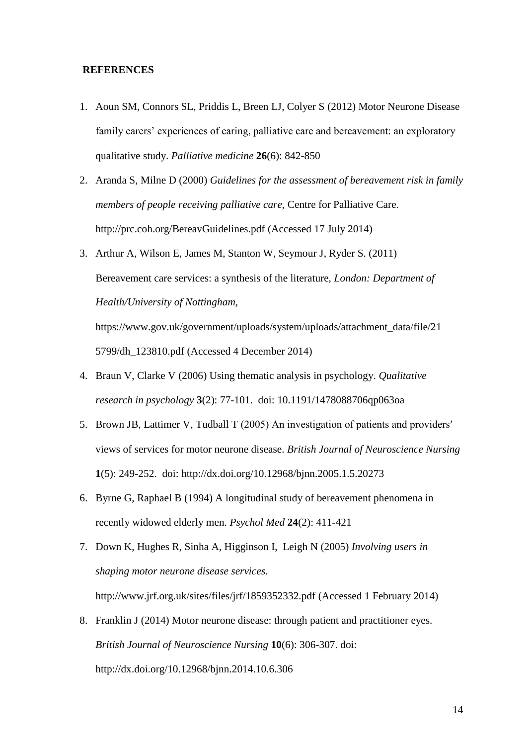### **REFERENCES**

- 1. Aoun SM, Connors SL, Priddis L, Breen LJ, Colyer S (2012) Motor Neurone Disease family carers' experiences of caring, palliative care and bereavement: an exploratory qualitative study. *Palliative medicine* **26**(6): 842-850
- 2. Aranda S, Milne D (2000) *Guidelines for the assessment of bereavement risk in family members of people receiving palliative care,* Centre for Palliative Care. http://prc.coh.org/BereavGuidelines.pdf (Accessed 17 July 2014)
- 3. Arthur A, Wilson E, James M, Stanton W, Seymour J, Ryder S. (2011) Bereavement care services: a synthesis of the literature, *London: Department of Health/University of Nottingham,*

https://www.gov.uk/government/uploads/system/uploads/attachment\_data/file/21 5799/dh\_123810.pdf (Accessed 4 December 2014)

- 4. Braun V, Clarke V (2006) Using thematic analysis in psychology. *Qualitative research in psychology* **3**(2): 77-101. doi: 10.1191/1478088706qp063oa
- 5. Brown JB, Lattimer V, Tudball T (2005) An investigation of patients and providers′ views of services for motor neurone disease. *British Journal of Neuroscience Nursing*  **1**(5): 249-252. doi: <http://dx.doi.org/10.12968/bjnn.2005.1.5.20273>
- 6. Byrne G, Raphael B (1994) A longitudinal study of bereavement phenomena in recently widowed elderly men. *Psychol Med* **24**(2): 411-421
- 7. Down K, Hughes R, Sinha A, Higginson I, Leigh N (2005) *Involving users in shaping motor neurone disease services*. http://www.jrf.org.uk/sites/files/jrf/1859352332.pdf (Accessed 1 February 2014)
- 8. Franklin J (2014) Motor neurone disease: through patient and practitioner eyes. *British Journal of Neuroscience Nursing* **10**(6): 306-307. doi: <http://dx.doi.org/10.12968/bjnn.2014.10.6.306>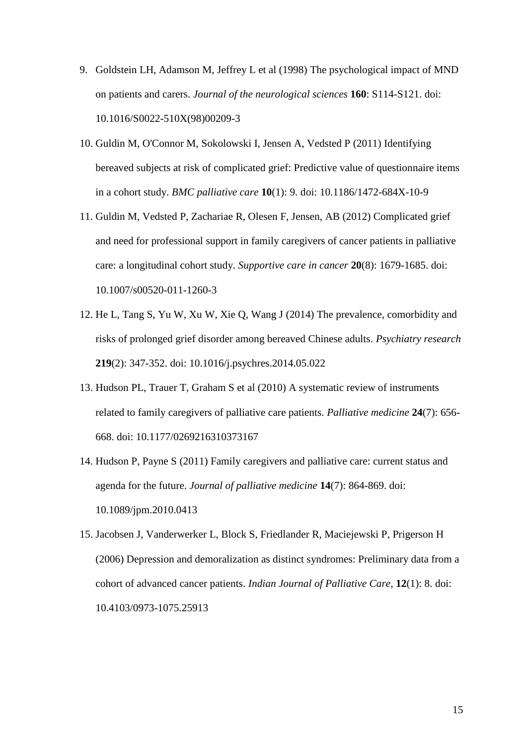- 9. Goldstein LH, Adamson M, Jeffrey L et al (1998) The psychological impact of MND on patients and carers. *Journal of the neurological sciences* **160**: S114-S121. doi: 10.1016/S0022-510X(98)00209-3
- 10. Guldin M, O'Connor M, Sokolowski I, Jensen A, Vedsted P (2011) Identifying bereaved subjects at risk of complicated grief: Predictive value of questionnaire items in a cohort study. *BMC palliative care* **10**(1): 9. doi: 10.1186/1472-684X-10-9
- 11. Guldin M, Vedsted P, Zachariae R, Olesen F, Jensen, AB (2012) Complicated grief and need for professional support in family caregivers of cancer patients in palliative care: a longitudinal cohort study. *Supportive care in cancer* **20**(8): 1679-1685. doi: 10.1007/s00520-011-1260-3
- 12. He L, Tang S, Yu W, Xu W, Xie Q, Wang J (2014) The prevalence, comorbidity and risks of prolonged grief disorder among bereaved Chinese adults. *Psychiatry research*  **219**(2): 347-352. doi: 10.1016/j.psychres.2014.05.022
- 13. Hudson PL, Trauer T, Graham S et al (2010) A systematic review of instruments related to family caregivers of palliative care patients. *Palliative medicine* **24**(7): 656- 668. doi: 10.1177/0269216310373167
- 14. Hudson P, Payne S (2011) Family caregivers and palliative care: current status and agenda for the future. *Journal of palliative medicine* **14**(7): 864-869. doi: 10.1089/jpm.2010.0413
- 15. Jacobsen J, Vanderwerker L, Block S, Friedlander R, Maciejewski P, Prigerson H (2006) Depression and demoralization as distinct syndromes: Preliminary data from a cohort of advanced cancer patients. *Indian Journal of Palliative Care,* **12**(1): 8. doi: 10.4103/0973-1075.25913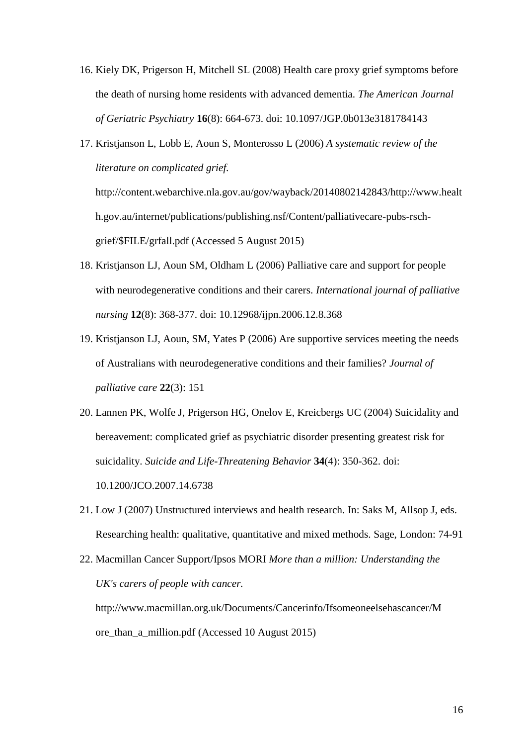- 16. Kiely DK, Prigerson H, Mitchell SL (2008) Health care proxy grief symptoms before the death of nursing home residents with advanced dementia. *The American Journal of Geriatric Psychiatry* **16**(8): 664-673. doi: 10.1097/JGP.0b013e3181784143
- 17. Kristjanson L, Lobb E, Aoun S, Monterosso L (2006) *A systematic review of the literature on complicated grief.*

http://content.webarchive.nla.gov.au/gov/wayback/20140802142843/http://www.healt h.gov.au/internet/publications/publishing.nsf/Content/palliativecare-pubs-rschgrief/\$FILE/grfall.pdf (Accessed 5 August 2015)

- 18. Kristjanson LJ, Aoun SM, Oldham L (2006) Palliative care and support for people with neurodegenerative conditions and their carers. *International journal of palliative nursing* **12**(8): 368-377. doi: 10.12968/ijpn.2006.12.8.368
- 19. Kristjanson LJ, Aoun, SM, Yates P (2006) Are supportive services meeting the needs of Australians with neurodegenerative conditions and their families? *Journal of palliative care* **22**(3): 151
- 20. Lannen PK, Wolfe J, Prigerson HG, Onelov E, Kreicbergs UC (2004) Suicidality and bereavement: complicated grief as psychiatric disorder presenting greatest risk for suicidality. *Suicide and Life-Threatening Behavior* **34**(4): 350-362. doi: 10.1200/JCO.2007.14.6738
- 21. Low J (2007) Unstructured interviews and health research. In: Saks M, Allsop J, eds. Researching health: qualitative, quantitative and mixed methods. Sage, London: 74-91
- 22. Macmillan Cancer Support/Ipsos MORI *More than a million: Understanding the UK's carers of people with cancer.* http://www.macmillan.org.uk/Documents/Cancerinfo/Ifsomeoneelsehascancer/M ore\_than\_a\_million.pdf (Accessed 10 August 2015)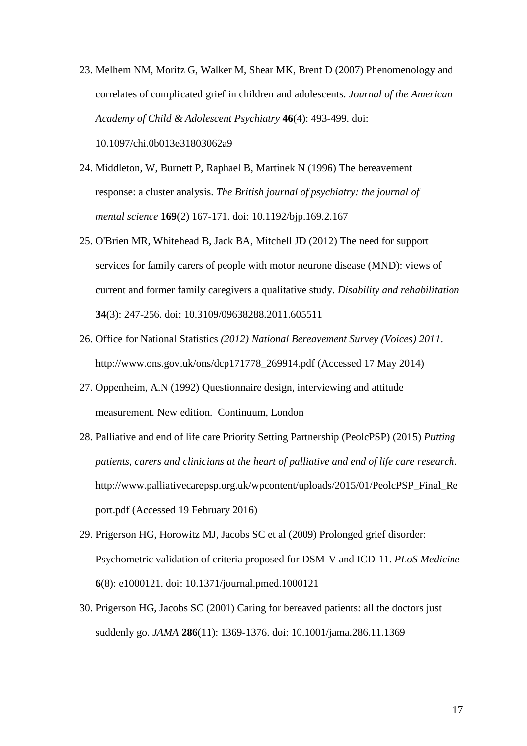- 23. Melhem NM, Moritz G, Walker M, Shear MK, Brent D (2007) Phenomenology and correlates of complicated grief in children and adolescents. *Journal of the American Academy of Child & Adolescent Psychiatry* **46**(4): 493-499. doi: 10.1097/chi.0b013e31803062a9
- 24. Middleton, W, Burnett P, Raphael B, Martinek N (1996) The bereavement response: a cluster analysis. *The British journal of psychiatry: the journal of mental science* **169**(2) 167-171. doi: 10.1192/bjp.169.2.167
- 25. O'Brien MR, Whitehead B, Jack BA, Mitchell JD (2012) The need for support services for family carers of people with motor neurone disease (MND): views of current and former family caregivers a qualitative study. *Disability and rehabilitation* **34**(3): 247-256. doi: 10.3109/09638288.2011.605511
- 26. Office for National Statistics *(2012) National Bereavement Survey (Voices) 2011*. http://www.ons.gov.uk/ons/dcp171778\_269914.pdf (Accessed 17 May 2014)
- 27. Oppenheim, A.N (1992) Questionnaire design, interviewing and attitude measurement*.* New edition. Continuum, London
- 28. Palliative and end of life care Priority Setting Partnership (PeolcPSP) (2015) *Putting patients, carers and clinicians at the heart of palliative and end of life care research*. http://www.palliativecarepsp.org.uk/wpcontent/uploads/2015/01/PeolcPSP\_Final\_Re port.pdf (Accessed 19 February 2016)
- 29. Prigerson HG, Horowitz MJ, Jacobs SC et al (2009) Prolonged grief disorder: Psychometric validation of criteria proposed for DSM-V and ICD-11. *PLoS Medicine* **6**(8): e1000121. doi: 10.1371/journal.pmed.1000121
- 30. Prigerson HG, Jacobs SC (2001) Caring for bereaved patients: all the doctors just suddenly go. *JAMA* **286**(11): 1369-1376. doi: 10.1001/jama.286.11.1369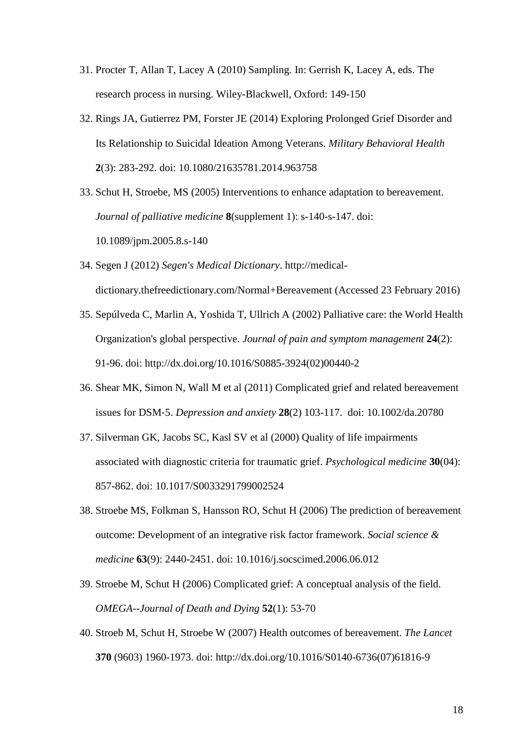- 31. Procter T, Allan T, Lacey A (2010) Sampling. In: Gerrish K, Lacey A, eds. The research process in nursing. Wiley-Blackwell, Oxford: 149-150
- 32. Rings JA, Gutierrez PM, Forster JE (2014) Exploring Prolonged Grief Disorder and Its Relationship to Suicidal Ideation Among Veterans. *Military Behavioral Health*  **2**(3): 283-292. doi: 10.1080/21635781.2014.963758
- 33. Schut H, Stroebe, MS (2005) Interventions to enhance adaptation to bereavement. *Journal of palliative medicine* **8**(supplement 1): s-140-s-147. doi: 10.1089/jpm.2005.8.s-140
- 34. Segen J (2012) *Segen's Medical Dictionary*. http://medicaldictionary.thefreedictionary.com/Normal+Bereavement (Accessed 23 February 2016)
- 35. Sepúlveda C, Marlin A, Yoshida T, Ullrich A (2002) Palliative care: the World Health Organization's global perspective. *Journal of pain and symptom management* **24**(2): 91-96. doi: [http://dx.doi.org/10.1016/S0885-3924\(02\)00440-2](http://dx.doi.org/10.1016/S0885-3924(02)00440-2)
- 36. Shear MK, Simon N, Wall M et al (2011) Complicated grief and related bereavement issues for DSM‐5. *Depression and anxiety* **28**(2) 103-117. doi: 10.1002/da.20780
- 37. Silverman GK, Jacobs SC, Kasl SV et al (2000) Quality of life impairments associated with diagnostic criteria for traumatic grief. *Psychological medicine* **30**(04): 857-862. doi: 10.1017/S0033291799002524
- 38. Stroebe MS, Folkman S, Hansson RO, Schut H (2006) The prediction of bereavement outcome: Development of an integrative risk factor framework. *Social science & medicine* **63**(9): 2440-2451. doi: 10.1016/j.socscimed.2006.06.012
- 39. Stroebe M, Schut H (2006) Complicated grief: A conceptual analysis of the field. *OMEGA--Journal of Death and Dying* **52**(1): 53-70
- 40. Stroeb M, Schut H, Stroebe W (2007) Health outcomes of bereavement. *The Lancet*  **370** (9603) 1960-1973. doi: http://dx.doi.org/10.1016/S0140-6736(07)61816-9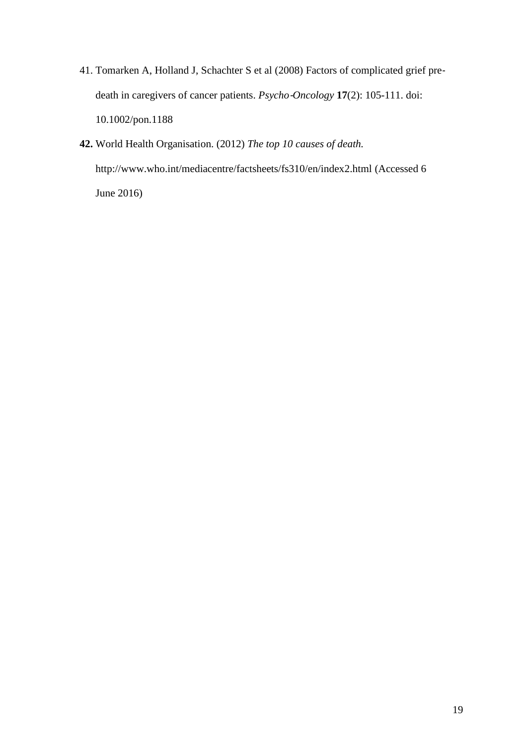- 41. Tomarken A, Holland J, Schachter S et al (2008) Factors of complicated grief pre‐ death in caregivers of cancer patients. *Psycho*‐*Oncology* **17**(2): 105-111. doi: [10.1002/pon.1188](http://dx.doi.org/10.1002%2Fpon.1188)
- **42.** World Health Organisation. (2012) *The top 10 causes of death.* http://www.who.int/mediacentre/factsheets/fs310/en/index2.html (Accessed 6 June 2016)